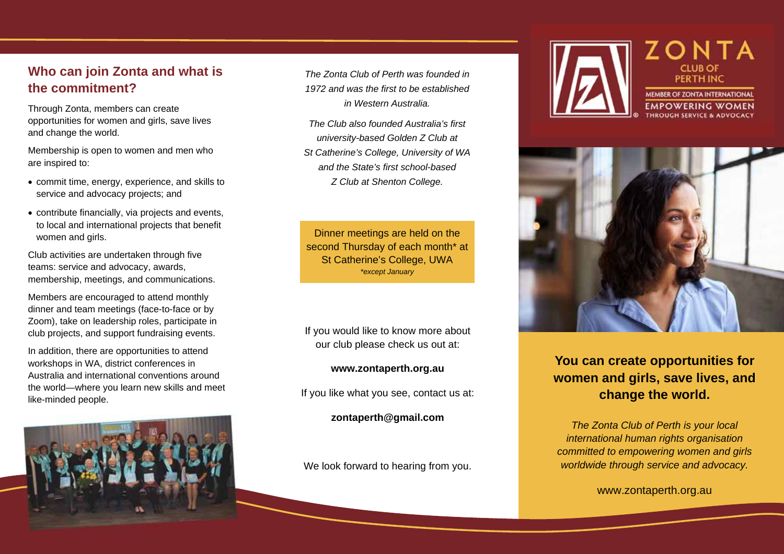#### **Who can join Zonta and what is the commitment?**

Through Zonta, members can create opportunities for women and girls, save lives and change the world.

Membership is open to women and men who are inspired to:

- commit time, energy, experience, and skills to service and advocacy projects; and
- contribute financially, via projects and events, to local and international projects that benefit women and girls.

Club activities are undertaken through five teams: service and advocacy, awards, membership, meetings, and communications.

Members are encouraged to attend monthly dinner and team meetings (face-to-face or by Zoom), take on leadership roles, participate in club projects, and support fundraising events.

In addition, there are opportunities to attend workshops in WA, district conferences in Australia and international conventions around the world—where you learn new skills and meet like-minded people.



*The Zonta Club of Perth was founded in 1972 and was the first to be established in Western Australia.* 

*The Club also founded Australia's first university-based Golden Z Club at St Catherine's College, University of WA and the State's first school-based Z Club at Shenton College.*

Dinner meetings are held on the second Thursday of each month\* at St Catherine's College, UWA *\*except January* 

If you would like to know more about our club please check us out at:

#### **www.zontaperth.org.au**

If you like what you see, contact us at:

**zontaperth@gmail.com** 

We look forward to hearing from you.





### **You can create opportunities for women and girls, save lives, and change the world.**

*The Zonta Club of Perth is your local international human rights organisation committed to empowering women and girls worldwide through service and advocacy.* 

www.zontaperth.org.au